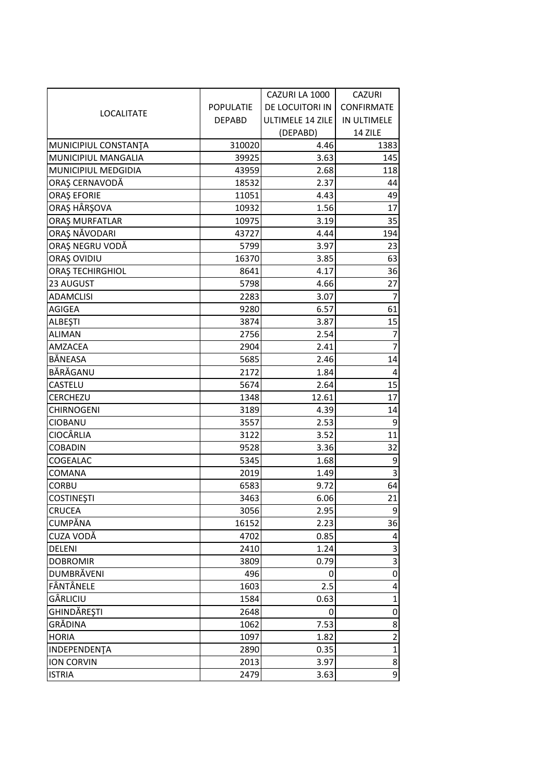|                         |                  | CAZURI LA 1000   | <b>CAZURI</b>     |
|-------------------------|------------------|------------------|-------------------|
|                         | <b>POPULATIE</b> | DE LOCUITORI IN  | <b>CONFIRMATE</b> |
| <b>LOCALITATE</b>       | <b>DEPABD</b>    | ULTIMELE 14 ZILE | IN ULTIMELE       |
|                         |                  | (DEPABD)         | 14 ZILE           |
| MUNICIPIUL CONSTANTA    | 310020           | 4.46             | 1383              |
| MUNICIPIUL MANGALIA     | 39925            | 3.63             | 145               |
| MUNICIPIUL MEDGIDIA     | 43959            | 2.68             | 118               |
| ORAȘ CERNAVODĂ          | 18532            | 2.37             | 44                |
| <b>ORAȘ EFORIE</b>      | 11051            | 4.43             | 49                |
| ORAȘ HÂRȘOVA            | 10932            | 1.56             | 17                |
| ORAȘ MURFATLAR          | 10975            | 3.19             | 35                |
| ORAȘ NĂVODARI           | 43727            | 4.44             | 194               |
| ORAȘ NEGRU VODĂ         | 5799             | 3.97             | 23                |
| ORAȘ OVIDIU             | 16370            | 3.85             | 63                |
| <b>ORAȘ TECHIRGHIOL</b> | 8641             | 4.17             | 36                |
| 23 AUGUST               | 5798             | 4.66             | 27                |
| <b>ADAMCLISI</b>        | 2283             | 3.07             | $\overline{7}$    |
| AGIGEA                  | 9280             | 6.57             | 61                |
| ALBEŞTI                 | 3874             | 3.87             | 15                |
| <b>ALIMAN</b>           | 2756             | 2.54             | $\overline{7}$    |
| AMZACEA                 | 2904             | 2.41             | $\overline{7}$    |
| BĂNEASA                 | 5685             | 2.46             | 14                |
| BĂRĂGANU                | 2172             | 1.84             | 4                 |
| <b>CASTELU</b>          | 5674             | 2.64             | 15                |
| <b>CERCHEZU</b>         | 1348             | 12.61            | 17                |
| <b>CHIRNOGENI</b>       | 3189             | 4.39             | 14                |
| <b>CIOBANU</b>          | 3557             | 2.53             | 9                 |
| <b>CIOCÂRLIA</b>        | 3122             | 3.52             | 11                |
| <b>COBADIN</b>          | 9528             | 3.36             | 32                |
| COGEALAC                | 5345             | 1.68             | 9                 |
| <b>COMANA</b>           | 2019             | 1.49             | 3                 |
| <b>CORBU</b>            | 6583             | 9.72             | 64                |
| <b>COSTINEȘTI</b>       | 3463             | 6.06             | 21                |
| <b>CRUCEA</b>           | 3056             | 2.95             | 9                 |
| <b>CUMPĂNA</b>          | 16152            | 2.23             | 36                |
| CUZA VODĂ               | 4702             | 0.85             | 4                 |
| <b>DELENI</b>           | 2410             | 1.24             | 3                 |
| <b>DOBROMIR</b>         | 3809             | 0.79             | 3                 |
| <b>DUMBRĂVENI</b>       | 496              | 0                | $\mathbf 0$       |
| FÂNTÂNELE               | 1603             | 2.5              | 4                 |
| GÂRLICIU                | 1584             | 0.63             | $\mathbf 1$       |
| GHINDĂREȘTI             | 2648             | 0                | 0                 |
| GRĂDINA                 | 1062             | 7.53             | 8                 |
| <b>HORIA</b>            | 1097             | 1.82             | $\overline{2}$    |
| INDEPENDENTA            | 2890             | 0.35             | $\mathbf 1$       |
| <b>ION CORVIN</b>       | 2013             | 3.97             | 8                 |
| <b>ISTRIA</b>           | 2479             | 3.63             | 9                 |
|                         |                  |                  |                   |